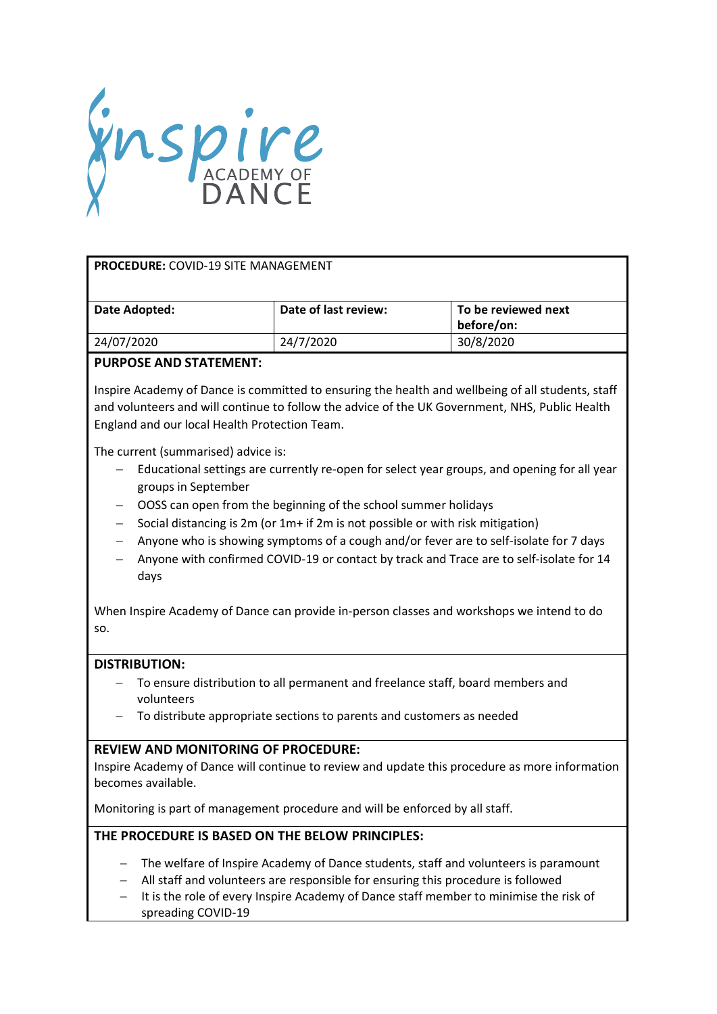ynspire

#### **PROCEDURE:** COVID-19 SITE MANAGEMENT

| Date Adopted: | Date of last review: | To be reviewed next<br>before/on: |
|---------------|----------------------|-----------------------------------|
| 24/07/2020    | 24/7/2020            | 30/8/2020                         |

## **PURPOSE AND STATEMENT:**

Inspire Academy of Dance is committed to ensuring the health and wellbeing of all students, staff and volunteers and will continue to follow the advice of the UK Government, NHS, Public Health England and our local Health Protection Team.

The current (summarised) advice is:

- Educational settings are currently re-open for select year groups, and opening for all year groups in September
- − OOSS can open from the beginning of the school summer holidays
- − Social distancing is 2m (or 1m+ if 2m is not possible or with risk mitigation)
- − Anyone who is showing symptoms of a cough and/or fever are to self-isolate for 7 days
- − Anyone with confirmed COVID-19 or contact by track and Trace are to self-isolate for 14 days

When Inspire Academy of Dance can provide in-person classes and workshops we intend to do so.

### **DISTRIBUTION:**

- − To ensure distribution to all permanent and freelance staff, board members and volunteers
- − To distribute appropriate sections to parents and customers as needed

### **REVIEW AND MONITORING OF PROCEDURE:**

Inspire Academy of Dance will continue to review and update this procedure as more information becomes available.

Monitoring is part of management procedure and will be enforced by all staff.

## **THE PROCEDURE IS BASED ON THE BELOW PRINCIPLES:**

- − The welfare of Inspire Academy of Dance students, staff and volunteers is paramount
- − All staff and volunteers are responsible for ensuring this procedure is followed
- − It is the role of every Inspire Academy of Dance staff member to minimise the risk of spreading COVID-19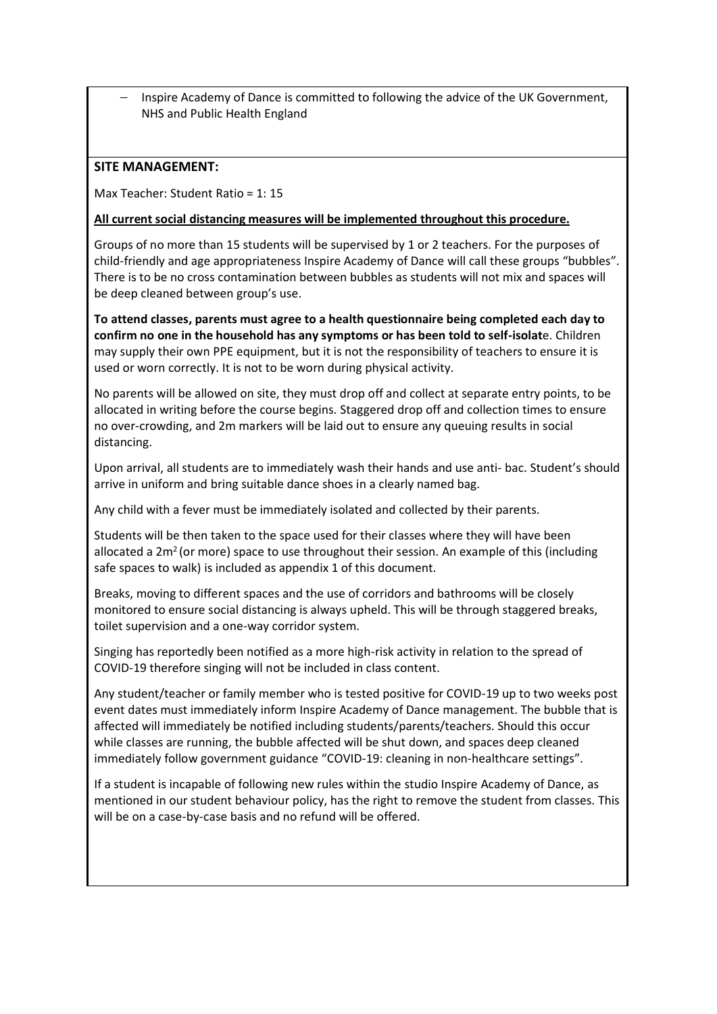− Inspire Academy of Dance is committed to following the advice of the UK Government, NHS and Public Health England

## **SITE MANAGEMENT:**

Max Teacher: Student Ratio = 1: 15

#### **All current social distancing measures will be implemented throughout this procedure.**

Groups of no more than 15 students will be supervised by 1 or 2 teachers. For the purposes of child-friendly and age appropriateness Inspire Academy of Dance will call these groups "bubbles". There is to be no cross contamination between bubbles as students will not mix and spaces will be deep cleaned between group's use.

**To attend classes, parents must agree to a health questionnaire being completed each day to confirm no one in the household has any symptoms or has been told to self-isolat**e. Children may supply their own PPE equipment, but it is not the responsibility of teachers to ensure it is used or worn correctly. It is not to be worn during physical activity.

No parents will be allowed on site, they must drop off and collect at separate entry points, to be allocated in writing before the course begins. Staggered drop off and collection times to ensure no over-crowding, and 2m markers will be laid out to ensure any queuing results in social distancing.

Upon arrival, all students are to immediately wash their hands and use anti- bac. Student's should arrive in uniform and bring suitable dance shoes in a clearly named bag.

Any child with a fever must be immediately isolated and collected by their parents.

Students will be then taken to the space used for their classes where they will have been allocated a  $2m^2$  (or more) space to use throughout their session. An example of this (including safe spaces to walk) is included as appendix 1 of this document.

Breaks, moving to different spaces and the use of corridors and bathrooms will be closely monitored to ensure social distancing is always upheld. This will be through staggered breaks, toilet supervision and a one-way corridor system.

Singing has reportedly been notified as a more high-risk activity in relation to the spread of COVID-19 therefore singing will not be included in class content.

Any student/teacher or family member who is tested positive for COVID-19 up to two weeks post event dates must immediately inform Inspire Academy of Dance management. The bubble that is affected will immediately be notified including students/parents/teachers. Should this occur while classes are running, the bubble affected will be shut down, and spaces deep cleaned immediately follow government guidance "COVID-19: cleaning in non-healthcare settings".

If a student is incapable of following new rules within the studio Inspire Academy of Dance, as mentioned in our student behaviour policy, has the right to remove the student from classes. This will be on a case-by-case basis and no refund will be offered.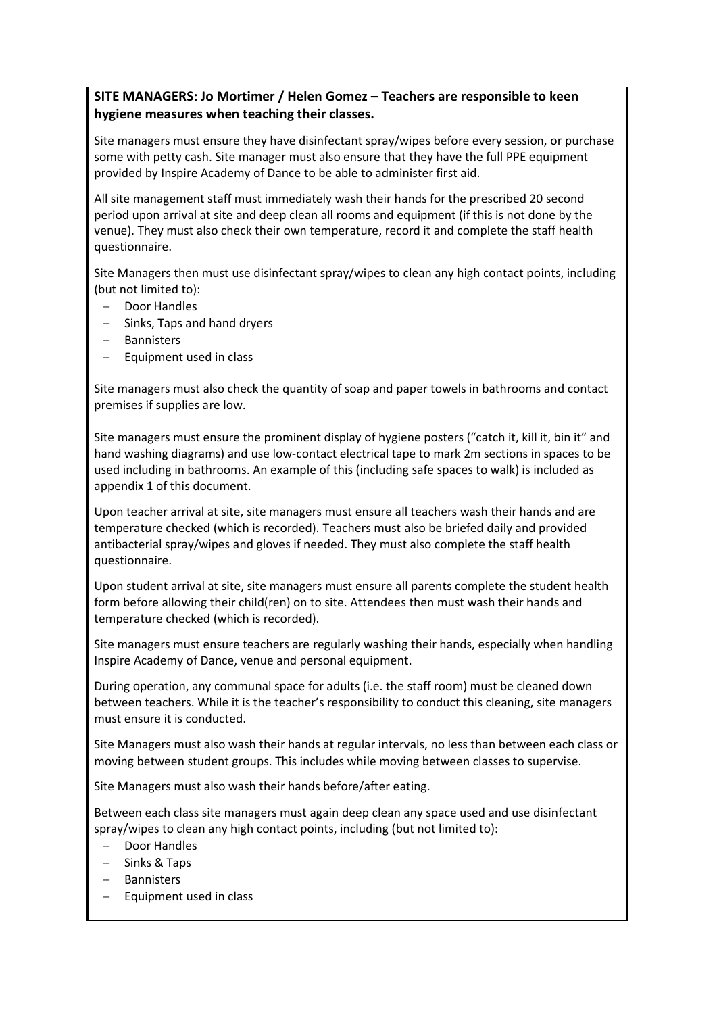# **SITE MANAGERS: Jo Mortimer / Helen Gomez – Teachers are responsible to keen hygiene measures when teaching their classes.**

Site managers must ensure they have disinfectant spray/wipes before every session, or purchase some with petty cash. Site manager must also ensure that they have the full PPE equipment provided by Inspire Academy of Dance to be able to administer first aid.

All site management staff must immediately wash their hands for the prescribed 20 second period upon arrival at site and deep clean all rooms and equipment (if this is not done by the venue). They must also check their own temperature, record it and complete the staff health questionnaire.

Site Managers then must use disinfectant spray/wipes to clean any high contact points, including (but not limited to):

- − Door Handles
- − Sinks, Taps and hand dryers
- − Bannisters
- − Equipment used in class

Site managers must also check the quantity of soap and paper towels in bathrooms and contact premises if supplies are low.

Site managers must ensure the prominent display of hygiene posters ("catch it, kill it, bin it" and hand washing diagrams) and use low-contact electrical tape to mark 2m sections in spaces to be used including in bathrooms. An example of this (including safe spaces to walk) is included as appendix 1 of this document.

Upon teacher arrival at site, site managers must ensure all teachers wash their hands and are temperature checked (which is recorded). Teachers must also be briefed daily and provided antibacterial spray/wipes and gloves if needed. They must also complete the staff health questionnaire.

Upon student arrival at site, site managers must ensure all parents complete the student health form before allowing their child(ren) on to site. Attendees then must wash their hands and temperature checked (which is recorded).

Site managers must ensure teachers are regularly washing their hands, especially when handling Inspire Academy of Dance, venue and personal equipment.

During operation, any communal space for adults (i.e. the staff room) must be cleaned down between teachers. While it is the teacher's responsibility to conduct this cleaning, site managers must ensure it is conducted.

Site Managers must also wash their hands at regular intervals, no less than between each class or moving between student groups. This includes while moving between classes to supervise.

Site Managers must also wash their hands before/after eating.

Between each class site managers must again deep clean any space used and use disinfectant spray/wipes to clean any high contact points, including (but not limited to):

- − Door Handles
- − Sinks & Taps
- − Bannisters
- − Equipment used in class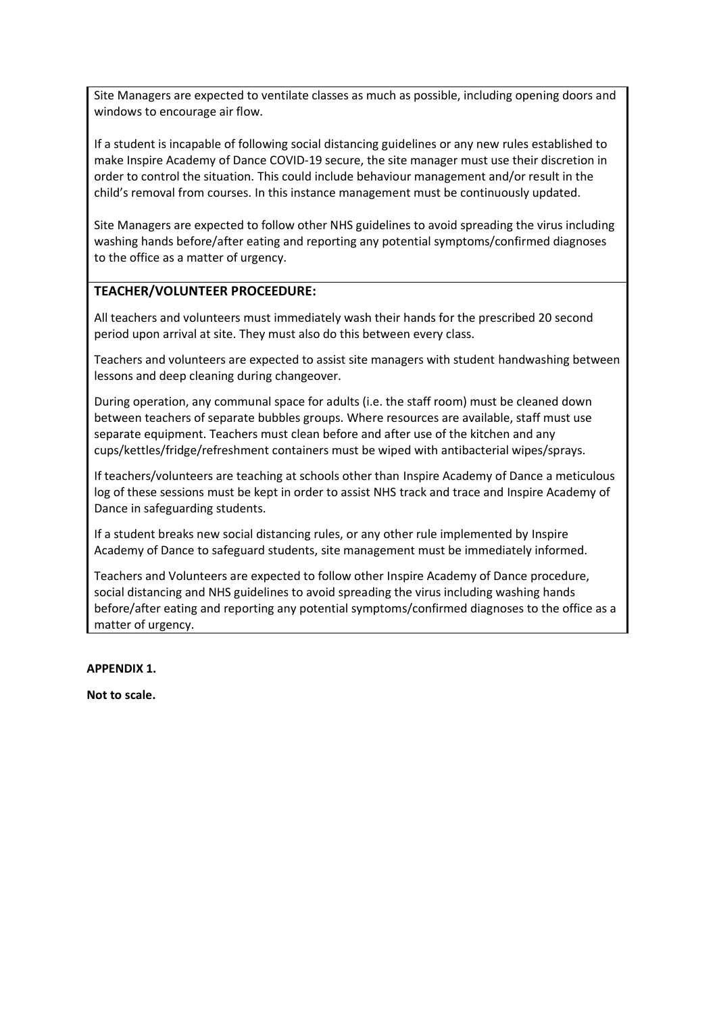Site Managers are expected to ventilate classes as much as possible, including opening doors and windows to encourage air flow.

If a student is incapable of following social distancing guidelines or any new rules established to make Inspire Academy of Dance COVID-19 secure, the site manager must use their discretion in order to control the situation. This could include behaviour management and/or result in the child's removal from courses. In this instance management must be continuously updated.

Site Managers are expected to follow other NHS guidelines to avoid spreading the virus including washing hands before/after eating and reporting any potential symptoms/confirmed diagnoses to the office as a matter of urgency.

## **TEACHER/VOLUNTEER PROCEEDURE:**

All teachers and volunteers must immediately wash their hands for the prescribed 20 second period upon arrival at site. They must also do this between every class.

Teachers and volunteers are expected to assist site managers with student handwashing between lessons and deep cleaning during changeover.

During operation, any communal space for adults (i.e. the staff room) must be cleaned down between teachers of separate bubbles groups. Where resources are available, staff must use separate equipment. Teachers must clean before and after use of the kitchen and any cups/kettles/fridge/refreshment containers must be wiped with antibacterial wipes/sprays.

If teachers/volunteers are teaching at schools other than Inspire Academy of Dance a meticulous log of these sessions must be kept in order to assist NHS track and trace and Inspire Academy of Dance in safeguarding students.

If a student breaks new social distancing rules, or any other rule implemented by Inspire Academy of Dance to safeguard students, site management must be immediately informed.

Teachers and Volunteers are expected to follow other Inspire Academy of Dance procedure, social distancing and NHS guidelines to avoid spreading the virus including washing hands before/after eating and reporting any potential symptoms/confirmed diagnoses to the office as a matter of urgency.

**APPENDIX 1.**

**Not to scale.**